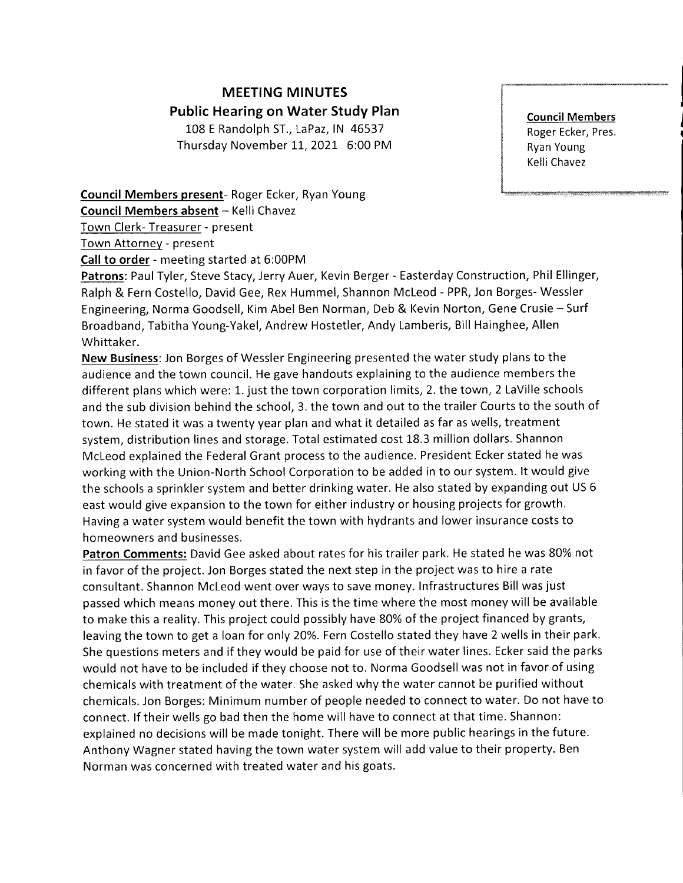## MEETING MINUTES Public Hearing on Water Study Plan 108 E Randolph ST., LaPaz, lN 46537

Thursday November 11, 2021 6:00 PM

Council Members Roger Ecker, Pres. Ryan Young Kelli Chavez

Council Members present- Roger Ecker, Ryan Young

Council Members absent - Kelli Chavez

Town Clerk- Treasurer - present

Town Attorney - present

Call to order - meeting started at 6:00PM

Patrons: Paul Tyler, Steve Stacy, Jerry Auer, Kevin Berger - Easterday Construction, Phil Ellinger, Ralph & Fern Costello, David Gee, Rex Hummel, Shannon Mcleod - PPR, Jon Borges- Wessler Engineering, Norma Goodsell, Kim Abel Ben Norman, Deb & Kevin Norton, Gene Crusie - Surf Broadband, Tabitha Young-Yakel, Andrew Hostetler, Andy Lamberis, Bill Hainghee, Allen Whittaker.

New Business:Jon Borges of Wessler Engineering presented the water study plans to the audience and the town council. He gave handouts explaining to the audience members the different plans which were: L. just the town corporation limits, 2. the town, 2 LaVille schools and the sub division behind the school, 3. the town and out to the trailer Courts to the south of town. He stated it was a twenty year plan and what it detailed as far as wells, treatment system, distribution lines and storage. Total estimated cost 18.3 million dollars. Shannon Mcleod explained the Federal Grant process to the audience. President Ecker stated he was working with the Union-North School Corporation to be added in to our system. lt would give the schools a sprinkler system and better drinking water. He also stated by expanding out US 6 east would give expansion to the town for either industry or housing projects for growth. Having a water system would benefit the town with hydrants and lower insurance costs to homeowners and businesses.

Patron Comments: David Gee asked about rates for his trailer park. He stated he was 80% not in favor of the project. Jon Borges stated the next step in the project was to hire a rate consultant. Shannon Mcleod went over ways to save money. lnfrastructures Bill was just passed which means money out there. This is the time where the most money will be available to make this a reality. This project could possibly have 80% of the project financed by grants, leaving the town to get a loan for only 20%. Fern Costello stated they have 2 wells in their park. She questions meters and if they would be paid for use of their water lines. Ecker said the parks would not have to be included if they choose not to. Norma Goodsell was not in favor of using chemicals with treatment of the water. She asked why the water cannot be purified without chemicals. Jon Borges: Minimum number of people needed to connect to water. Do not have to connect. lf their wells go bad then the home will have to connect at that time. Shannon: explained no decisions will be made tonight. There will be more public hearings in the future. Anthony Wagner stated having the town water system will add value to their property. Ben Norman was concerned with treated water and his goats.